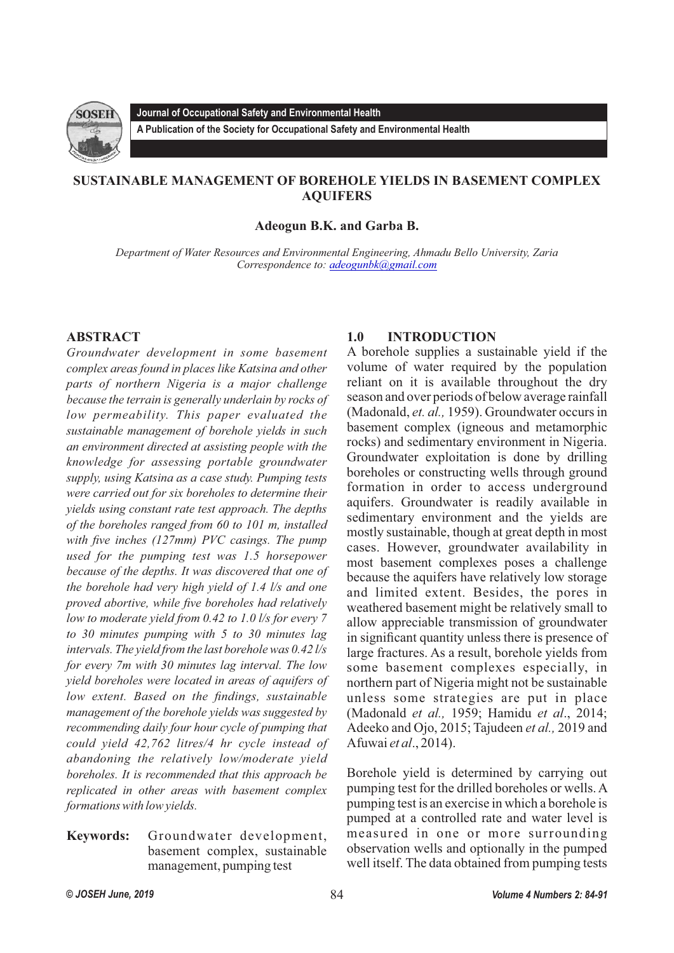

**A Publication of the Society for Occupational Safety and Environmental Health** 

# **SUSTAINABLE MANAGEMENT OF BOREHOLE YIELDS IN BASEMENT COMPLEX AQUIFERS**

**Adeogun B.K. and Garba B.**

*Department of Water Resources and Environmental Engineering, Ahmadu Bello University, Zaria Correspondence to: [adeogunbk@gmail.com](mailto:adeogunbk@gmail.com)*

# **ABSTRACT**

*Groundwater development in some basement complex areas found in places like Katsina and other parts of northern Nigeria is a major challenge because the terrain is generally underlain by rocks of low permeability. This paper evaluated the sustainable management of borehole yields in such an environment directed at assisting people with the knowledge for assessing portable groundwater supply, using Katsina as a case study. Pumping tests were carried out for six boreholes to determine their yields using constant rate test approach. The depths of the boreholes ranged from 60 to 101 m, installed with five inches (127mm) PVC casings. The pump used for the pumping test was 1.5 horsepower because of the depths. It was discovered that one of the borehole had very high yield of 1.4 l/s and one proved abortive, while five boreholes had relatively low to moderate yield from 0.42 to 1.0 l/s for every 7 to 30 minutes pumping with 5 to 30 minutes lag intervals. The yield from the last borehole was 0.42 l/s for every 7m with 30 minutes lag interval. The low yield boreholes were located in areas of aquifers of low extent. Based on the findings, sustainable management of the borehole yields was suggested by recommending daily four hour cycle of pumping that could yield 42,762 litres/4 hr cycle instead of abandoning the relatively low/moderate yield boreholes. It is recommended that this approach be replicated in other areas with basement complex formations with low yields.*

**Keywords:** Groundwater development, basement complex, sustainable management, pumping test

# **1.0 INTRODUCTION**

A borehole supplies a sustainable yield if the volume of water required by the population reliant on it is available throughout the dry season and over periods of below average rainfall (Madonald, *et. al.,* 1959). Groundwater occurs in basement complex (igneous and metamorphic rocks) and sedimentary environment in Nigeria. Groundwater exploitation is done by drilling boreholes or constructing wells through ground formation in order to access underground aquifers. Groundwater is readily available in sedimentary environment and the yields are mostly sustainable, though at great depth in most cases. However, groundwater availability in most basement complexes poses a challenge because the aquifers have relatively low storage and limited extent. Besides, the pores in weathered basement might be relatively small to allow appreciable transmission of groundwater in significant quantity unless there is presence of large fractures. As a result, borehole yields from some basement complexes especially, in northern part of Nigeria might not be sustainable unless some strategies are put in place (Madonald *et al.,* 1959; Hamidu *et al*., 2014; Adeeko and Ojo, 2015; Tajudeen *et al.,* 2019 and Afuwai *et al*., 2014).

Borehole yield is determined by carrying out pumping test for the drilled boreholes or wells. A pumping test is an exercise in which a borehole is pumped at a controlled rate and water level is measured in one or more surrounding observation wells and optionally in the pumped well itself. The data obtained from pumping tests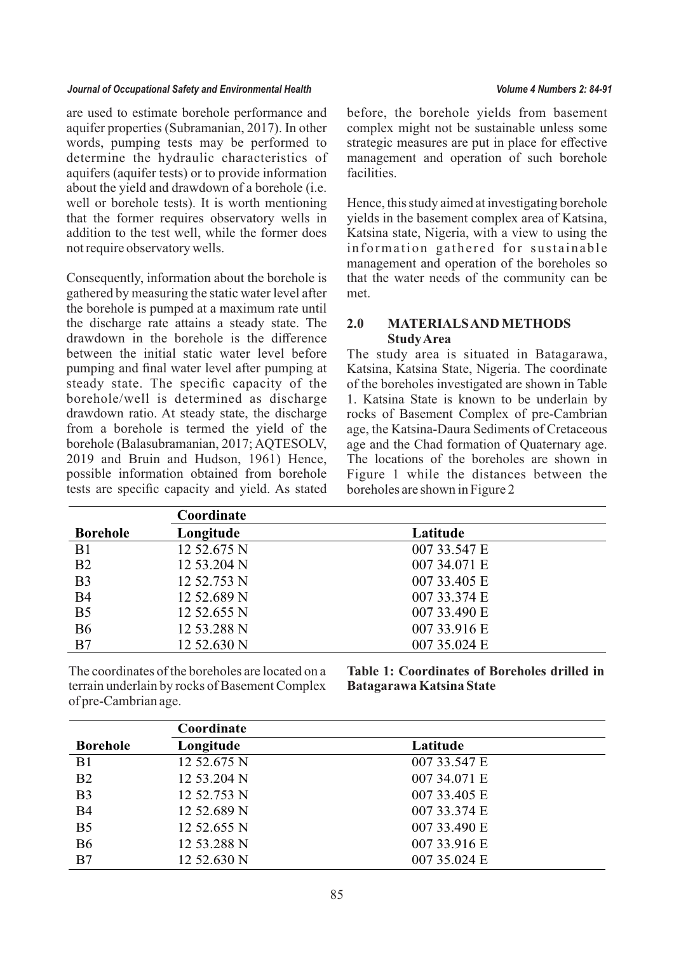are used to estimate borehole performance and aquifer properties (Subramanian, 2017). In other words, pumping tests may be performed to determine the hydraulic characteristics of aquifers (aquifer tests) or to provide information about the yield and drawdown of a borehole (i.e. well or borehole tests). It is worth mentioning that the former requires observatory wells in addition to the test well, while the former does not require observatory wells.

Consequently, information about the borehole is gathered by measuring the static water level after the borehole is pumped at a maximum rate until the discharge rate attains a steady state. The drawdown in the borehole is the difference between the initial static water level before pumping and final water level after pumping at steady state. The specific capacity of the borehole/well is determined as discharge drawdown ratio. At steady state, the discharge from a borehole is termed the yield of the borehole (Balasubramanian, 2017; AQTESOLV, 2019 and Bruin and Hudson, 1961) Hence, possible information obtained from borehole tests are specific capacity and yield. As stated

before, the borehole yields from basement complex might not be sustainable unless some strategic measures are put in place for effective management and operation of such borehole facilities.

Hence, this study aimed at investigating borehole yields in the basement complex area of Katsina, Katsina state, Nigeria, with a view to using the information gathered for sustainable management and operation of the boreholes so that the water needs of the community can be met.

## **2.0 MATERIALS AND METHODS Study Area**

The study area is situated in Batagarawa, Katsina, Katsina State, Nigeria. The coordinate of the boreholes investigated are shown in Table 1. Katsina State is known to be underlain by rocks of Basement Complex of pre-Cambrian age, the Katsina-Daura Sediments of Cretaceous age and the Chad formation of Quaternary age. The locations of the boreholes are shown in Figure 1 while the distances between the boreholes are shown in Figure 2

|                 | Coordinate  |              |  |
|-----------------|-------------|--------------|--|
| <b>Borehole</b> | Longitude   | Latitude     |  |
| B <sub>1</sub>  | 12 52.675 N | 007 33.547 E |  |
| B <sub>2</sub>  | 12 53.204 N | 007 34.071 E |  |
| B <sub>3</sub>  | 12 52.753 N | 007 33.405 E |  |
| <b>B4</b>       | 12 52.689 N | 007 33.374 E |  |
| B <sub>5</sub>  | 12 52.655 N | 007 33.490 E |  |
| <b>B6</b>       | 12 53.288 N | 007 33.916 E |  |
| B7              | 12 52.630 N | 007 35.024 E |  |

The coordinates of the boreholes are located on a terrain underlain by rocks of Basement Complex of pre-Cambrian age.

**Table 1: Coordinates of Boreholes drilled in Batagarawa Katsina State**

|                 | Coordinate  |              |  |  |
|-----------------|-------------|--------------|--|--|
| <b>Borehole</b> | Longitude   | Latitude     |  |  |
| B1              | 12 52.675 N | 007 33.547 E |  |  |
| B <sub>2</sub>  | 12 53.204 N | 007 34.071 E |  |  |
| B <sub>3</sub>  | 12 52.753 N | 007 33.405 E |  |  |
| <b>B4</b>       | 12 52.689 N | 007 33.374 E |  |  |
| B <sub>5</sub>  | 12 52.655 N | 007 33.490 E |  |  |
| <b>B6</b>       | 12 53.288 N | 007 33.916 E |  |  |
| B7              | 12 52.630 N | 007 35.024 E |  |  |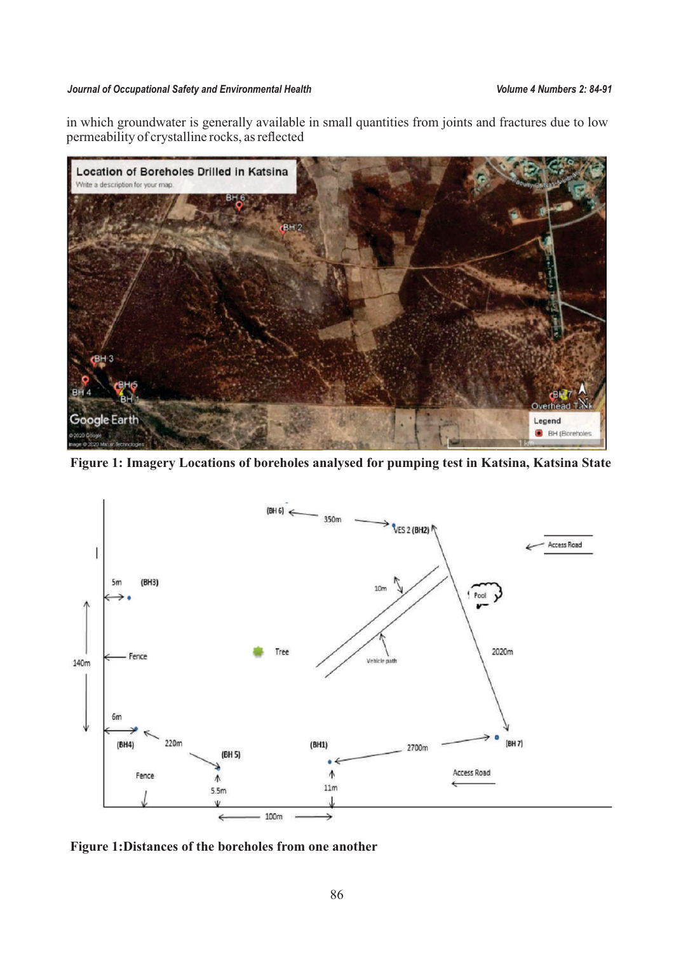in which groundwater is generally available in small quantities from joints and fractures due to low permeability of crystalline rocks, as reflected



**Figure 1: Imagery Locations of boreholes analysed for pumping test in Katsina, Katsina State**



**Figure 1: Distances of the boreholes from one another**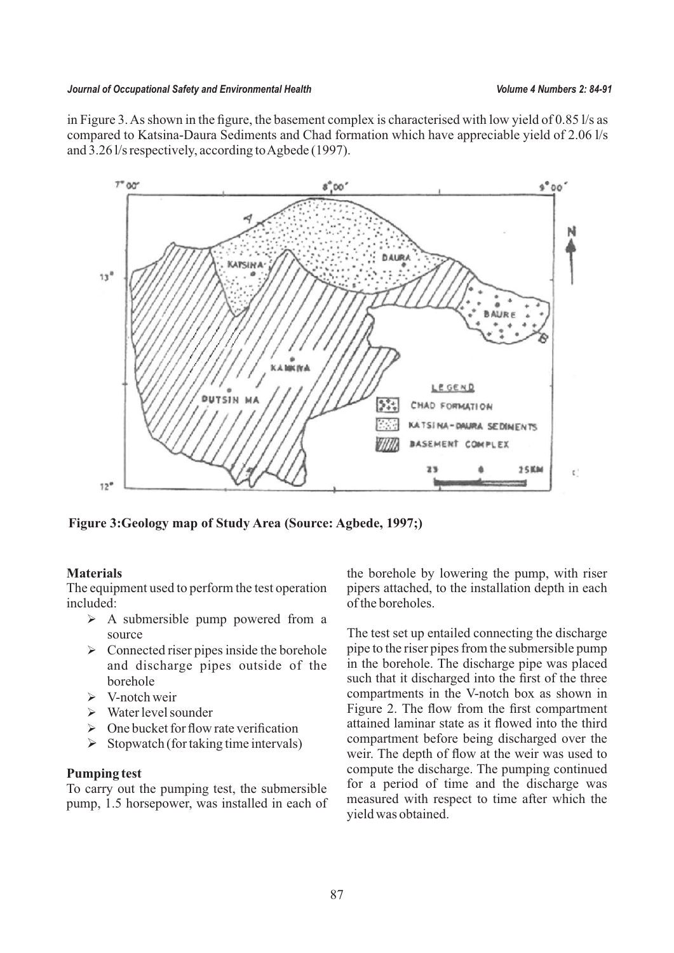in Figure 3. As shown in the figure, the basement complex is characterised with low yield of 0.85 l/s as compared to Katsina-Daura Sediments and Chad formation which have appreciable yield of 2.06 l/s and 3.26 l/s respectively, according to Agbede (1997).



**Figure 3:Geology map of Study Area (Source: Agbede, 1997;)**

# **Materials**

The equipment used to perform the test operation included:

- $\triangleright$  A submersible pump powered from a source
- $\triangleright$  Connected riser pipes inside the borehole and discharge pipes outside of the borehole
- $\triangleright$  V-notch weir
- $\triangleright$  Water level sounder
- $\triangleright$  One bucket for flow rate verification
- $\triangleright$  Stopwatch (for taking time intervals)

## **Pumping test**

To carry out the pumping test, the submersible pump, 1.5 horsepower, was installed in each of

the borehole by lowering the pump, with riser pipers attached, to the installation depth in each of the boreholes.

The test set up entailed connecting the discharge pipe to the riser pipes from the submersible pump in the borehole. The discharge pipe was placed such that it discharged into the first of the three compartments in the V-notch box as shown in Figure 2. The flow from the first compartment attained laminar state as it flowed into the third compartment before being discharged over the weir. The depth of flow at the weir was used to compute the discharge. The pumping continued for a period of time and the discharge was measured with respect to time after which the yield was obtained.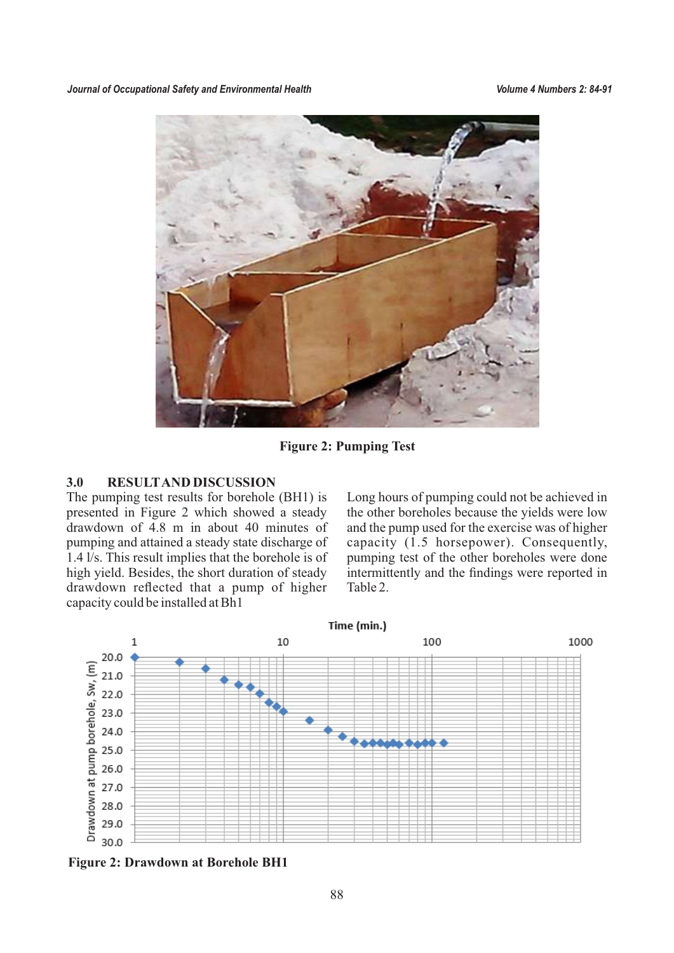

**Figure 2: Pumping Test**

## **3.0 RESULTAND DISCUSSION**

The pumping test results for borehole (BH1) is presented in Figure 2 which showed a steady drawdown of 4.8 m in about 40 minutes of pumping and attained a steady state discharge of 1.4 l/s. This result implies that the borehole is of high yield. Besides, the short duration of steady drawdown reflected that a pump of higher capacity could be installed at Bh1

Long hours of pumping could not be achieved in the other boreholes because the yields were low and the pump used for the exercise was of higher capacity (1.5 horsepower). Consequently, pumping test of the other boreholes were done intermittently and the findings were reported in Table 2.



**Figure 2: Drawdown at Borehole BH1**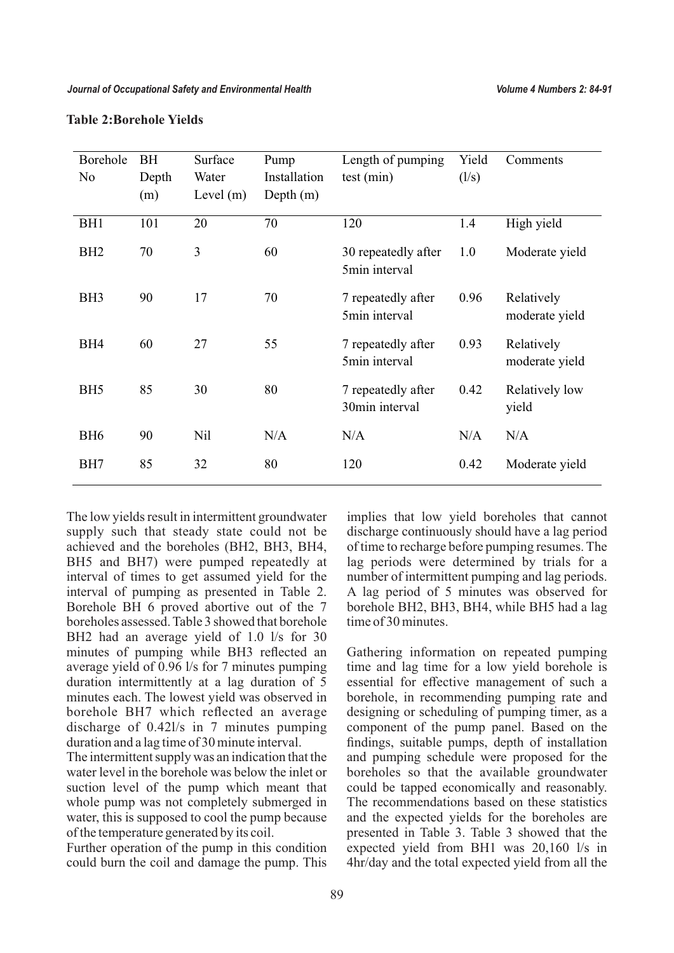| Borehole<br>N <sub>o</sub> | <b>BH</b><br>Depth<br>(m) | Surface<br>Water<br>Level $(m)$ | Pump<br>Installation<br>Depth $(m)$ | Length of pumping<br>test(min)       | Yield<br>(1/s) | Comments                     |
|----------------------------|---------------------------|---------------------------------|-------------------------------------|--------------------------------------|----------------|------------------------------|
| BH <sub>1</sub>            | 101                       | 20                              | 70                                  | 120                                  | 1.4            | High yield                   |
| BH <sub>2</sub>            | 70                        | 3                               | 60                                  | 30 repeatedly after<br>5min interval | 1.0            | Moderate yield               |
| BH <sub>3</sub>            | 90                        | 17                              | 70                                  | 7 repeatedly after<br>5min interval  | 0.96           | Relatively<br>moderate yield |
| BH <sub>4</sub>            | 60                        | 27                              | 55                                  | 7 repeatedly after<br>5min interval  | 0.93           | Relatively<br>moderate yield |
| BH <sub>5</sub>            | 85                        | 30                              | 80                                  | 7 repeatedly after<br>30min interval | 0.42           | Relatively low<br>yield      |
| BH <sub>6</sub>            | 90                        | Nil                             | N/A                                 | N/A                                  | N/A            | N/A                          |
| BH7                        | 85                        | 32                              | 80                                  | 120                                  | 0.42           | Moderate yield               |

#### **Table 2:Borehole Yields**

The low yields result in intermittent groundwater supply such that steady state could not be achieved and the boreholes (BH2, BH3, BH4, BH5 and BH7) were pumped repeatedly at interval of times to get assumed yield for the interval of pumping as presented in Table 2. Borehole BH 6 proved abortive out of the 7 boreholes assessed. Table 3 showed that borehole BH2 had an average yield of 1.0 l/s for 30 minutes of pumping while BH3 reflected an average yield of 0.96 l/s for 7 minutes pumping duration intermittently at a lag duration of 5 minutes each. The lowest yield was observed in borehole BH7 which reflected an average discharge of 0.42l/s in 7 minutes pumping duration and a lag time of 30 minute interval.

The intermittent supply was an indication that the water level in the borehole was below the inlet or suction level of the pump which meant that whole pump was not completely submerged in water, this is supposed to cool the pump because of the temperature generated by its coil.

Further operation of the pump in this condition could burn the coil and damage the pump. This

implies that low yield boreholes that cannot discharge continuously should have a lag period of time to recharge before pumping resumes. The lag periods were determined by trials for a number of intermittent pumping and lag periods. A lag period of 5 minutes was observed for borehole BH2, BH3, BH4, while BH5 had a lag time of 30 minutes.

Gathering information on repeated pumping time and lag time for a low yield borehole is essential for effective management of such a borehole, in recommending pumping rate and designing or scheduling of pumping timer, as a component of the pump panel. Based on the findings, suitable pumps, depth of installation and pumping schedule were proposed for the boreholes so that the available groundwater could be tapped economically and reasonably. The recommendations based on these statistics and the expected yields for the boreholes are presented in Table 3. Table 3 showed that the expected yield from BH1 was 20,160 l/s in 4hr/day and the total expected yield from all the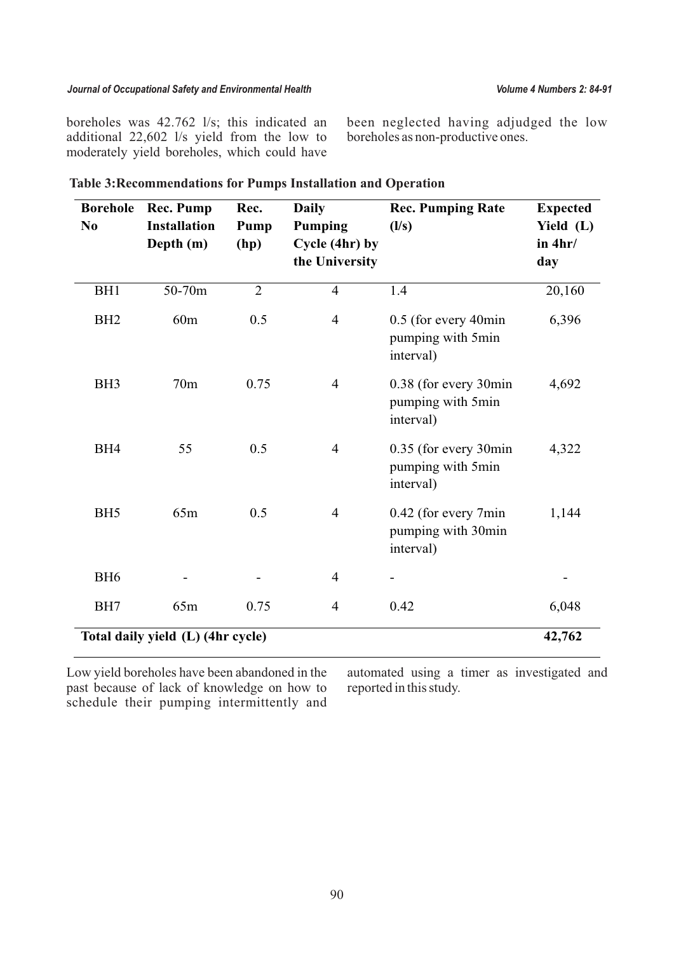boreholes was 42.762 l/s; this indicated an additional 22,602 l/s yield from the low to moderately yield boreholes, which could have been neglected having adjudged the low boreholes as non-productive ones.

| <b>Borehole</b><br>N <sub>0</sub> | <b>Rec. Pump</b><br><b>Installation</b><br>Depth (m) | Rec.<br>Pump<br>(hp) | <b>Daily</b><br><b>Pumping</b><br>Cycle (4hr) by<br>the University | <b>Rec. Pumping Rate</b><br>(1/s)                       | <b>Expected</b><br>Yield (L)<br>in $4hr/$<br>day |
|-----------------------------------|------------------------------------------------------|----------------------|--------------------------------------------------------------------|---------------------------------------------------------|--------------------------------------------------|
| BH <sub>1</sub>                   | 50-70m                                               | $\overline{2}$       | $\overline{4}$                                                     | 1.4                                                     | 20,160                                           |
| BH <sub>2</sub>                   | 60m                                                  | 0.5                  | $\overline{4}$                                                     | 0.5 (for every 40min<br>pumping with 5min<br>interval)  | 6,396                                            |
| BH <sub>3</sub>                   | 70m                                                  | 0.75                 | $\overline{4}$                                                     | 0.38 (for every 30min<br>pumping with 5min<br>interval) | 4,692                                            |
| BH <sub>4</sub>                   | 55                                                   | 0.5                  | $\overline{4}$                                                     | 0.35 (for every 30min<br>pumping with 5min<br>interval) | 4,322                                            |
| BH <sub>5</sub>                   | 65m                                                  | 0.5                  | $\overline{4}$                                                     | 0.42 (for every 7min<br>pumping with 30min<br>interval) | 1,144                                            |
| BH <sub>6</sub>                   |                                                      |                      | $\overline{4}$                                                     |                                                         |                                                  |
| BH7                               | 65m                                                  | 0.75                 | $\overline{4}$                                                     | 0.42                                                    | 6,048                                            |
| Total daily yield (L) (4hr cycle) |                                                      |                      |                                                                    |                                                         |                                                  |

Low yield boreholes have been abandoned in the past because of lack of knowledge on how to schedule their pumping intermittently and automated using a timer as investigated and reported in this study.